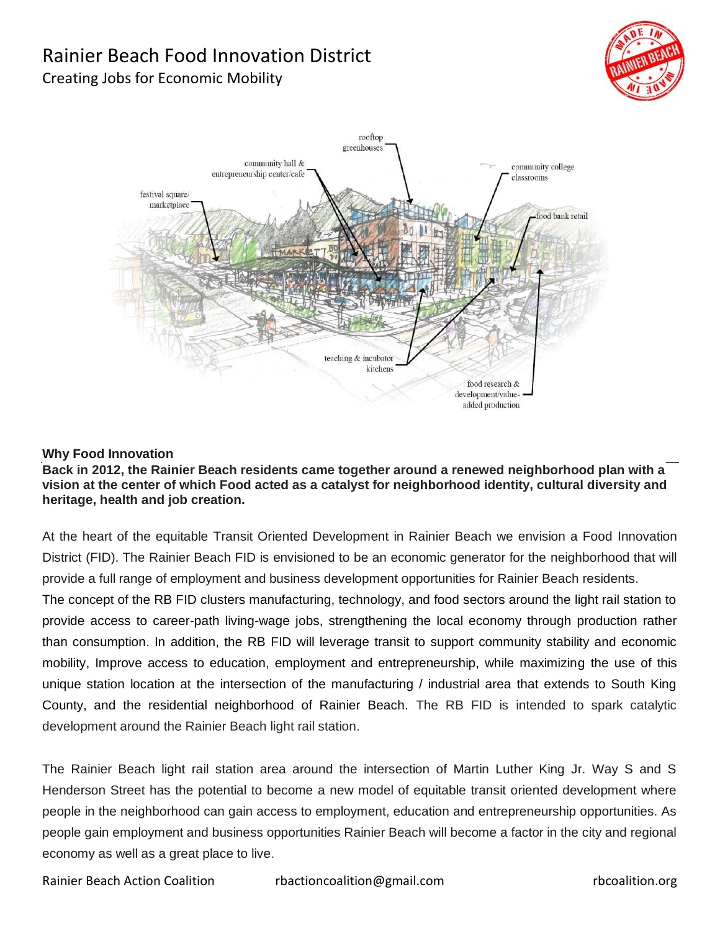# Rainier Beach Food Innovation District Creating Jobs for Economic Mobility





#### **Why Food Innovation**

#### **Back in 2012, the Rainier Beach residents came together around a renewed neighborhood plan with a vision at the center of which Food acted as a catalyst for neighborhood identity, cultural diversity and heritage, health and job creation.**

At the heart of the equitable Transit Oriented Development in Rainier Beach we envision a Food Innovation District (FID). The Rainier Beach FID is envisioned to be an economic generator for the neighborhood that will provide a full range of employment and business development opportunities for Rainier Beach residents.

The concept of the RB FID clusters manufacturing, technology, and food sectors around the light rail station to provide access to career-path living-wage jobs, strengthening the local economy through production rather than consumption. In addition, the RB FID will leverage transit to support community stability and economic mobility, Improve access to education, employment and entrepreneurship, while maximizing the use of this unique station location at the intersection of the manufacturing / industrial area that extends to South King County, and the residential neighborhood of Rainier Beach. The RB FID is intended to spark catalytic development around the Rainier Beach light rail station.

The Rainier Beach light rail station area around the intersection of Martin Luther King Jr. Way S and S Henderson Street has the potential to become a new model of equitable transit oriented development where people in the neighborhood can gain access to employment, education and entrepreneurship opportunities. As people gain employment and business opportunities Rainier Beach will become a factor in the city and regional economy as well as a great place to live.

Rainier Beach Action Coalition rbactioncoalition@gmail.com rbcoalition.org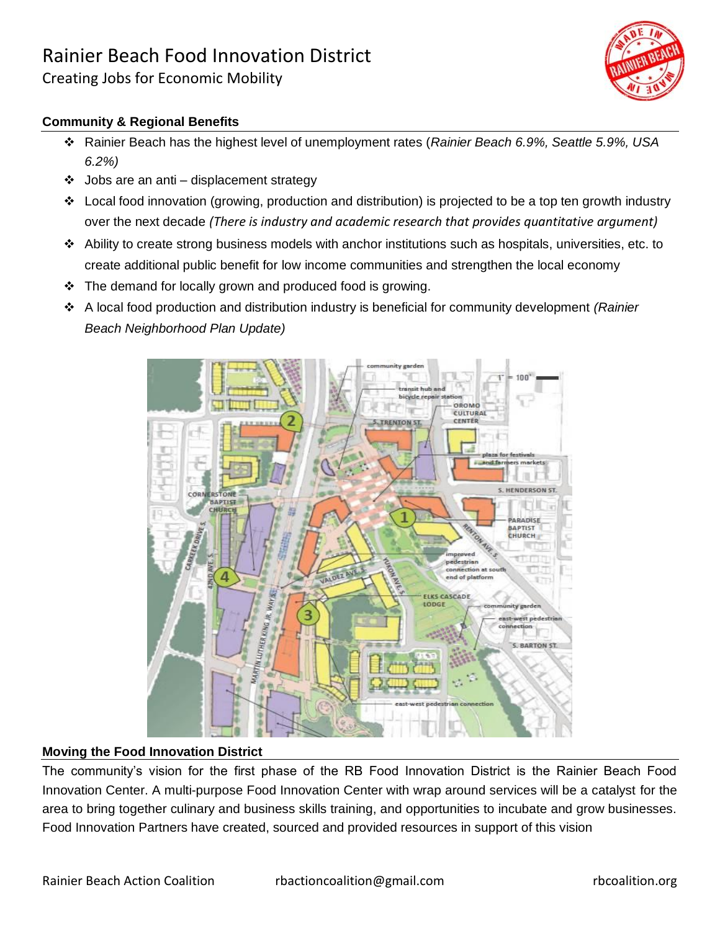Creating Jobs for Economic Mobility



### **Community & Regional Benefits**

- Rainier Beach has the highest level of unemployment rates (*Rainier Beach 6.9%, Seattle 5.9%, USA 6.2%)*
- $\div$  Jobs are an anti displacement strategy
- $\div$  Local food innovation (growing, production and distribution) is projected to be a top ten growth industry over the next decade *(There is industry and academic research that provides quantitative argument)*
- Ability to create strong business models with anchor institutions such as hospitals, universities, etc. to create additional public benefit for low income communities and strengthen the local economy
- The demand for locally grown and produced food is growing.
- A local food production and distribution industry is beneficial for community development *(Rainier Beach Neighborhood Plan Update)*



#### **Moving the Food Innovation District**

The community's vision for the first phase of the RB Food Innovation District is the Rainier Beach Food Innovation Center. A multi-purpose Food Innovation Center with wrap around services will be a catalyst for the area to bring together culinary and business skills training, and opportunities to incubate and grow businesses. Food Innovation Partners have created, sourced and provided resources in support of this vision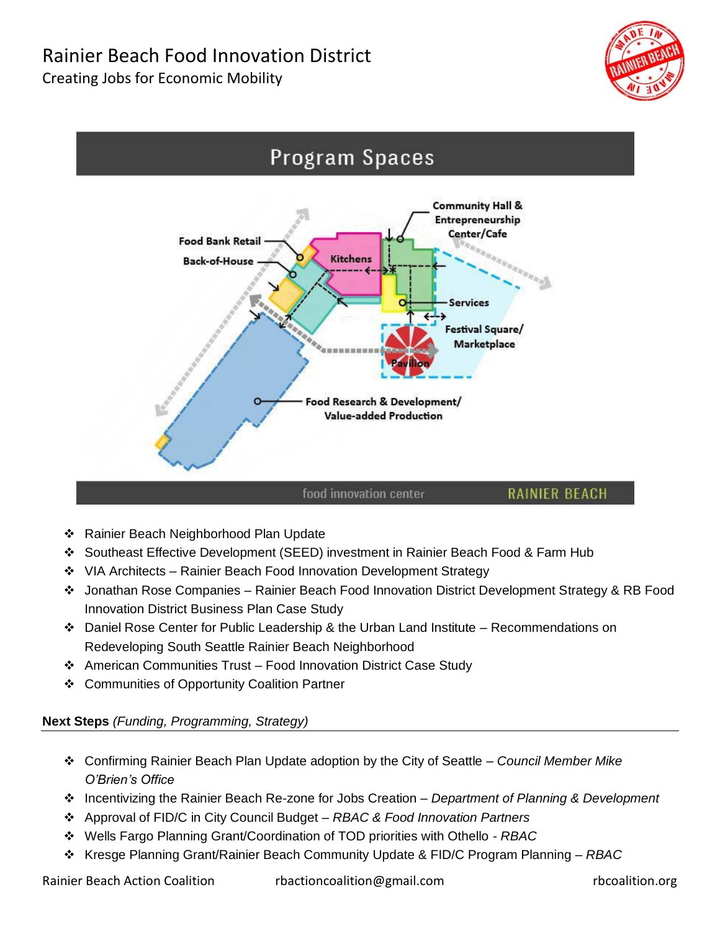## Rainier Beach Food Innovation District Creating Jobs for Economic Mobility





- ❖ Rainier Beach Neighborhood Plan Update
- Southeast Effective Development (SEED) investment in Rainier Beach Food & Farm Hub
- ◆ VIA Architects Rainier Beach Food Innovation Development Strategy
- Jonathan Rose Companies Rainier Beach Food Innovation District Development Strategy & RB Food Innovation District Business Plan Case Study
- $\div$  Daniel Rose Center for Public Leadership & the Urban Land Institute Recommendations on Redeveloping South Seattle Rainier Beach Neighborhood
- American Communities Trust Food Innovation District Case Study
- ❖ Communities of Opportunity Coalition Partner

### **Next Steps** *(Funding, Programming, Strategy)*

- Confirming Rainier Beach Plan Update adoption by the City of Seattle *Council Member Mike O'Brien's Office*
- Incentivizing the Rainier Beach Re-zone for Jobs Creation *Department of Planning & Development*
- Approval of FID/C in City Council Budget *RBAC & Food Innovation Partners*
- Wells Fargo Planning Grant/Coordination of TOD priorities with Othello *RBAC*
- Kresge Planning Grant/Rainier Beach Community Update & FID/C Program Planning *RBAC*